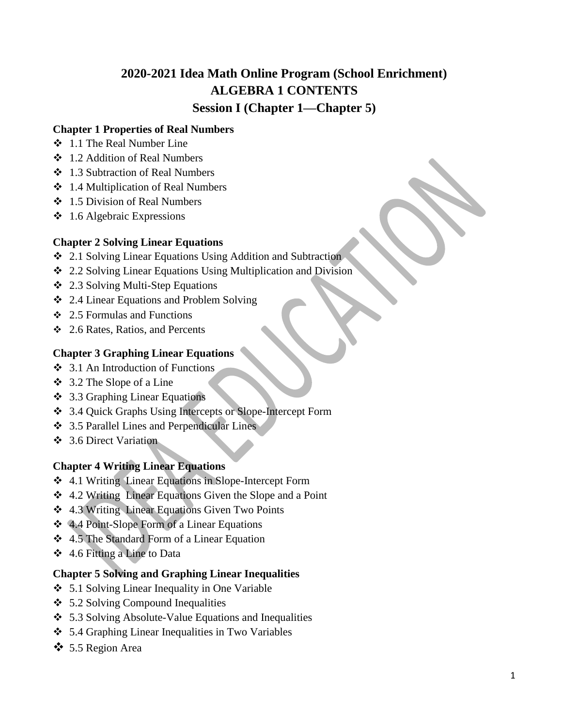# **2020-2021 Idea Math Online Program (School Enrichment) ALGEBRA 1 CONTENTS Session I (Chapter 1—Chapter 5)**

### **Chapter 1 Properties of Real Numbers**

- 1.1 The Real Number Line
- 1.2 Addition of Real Numbers
- 1.3 Subtraction of Real Numbers
- $\div$  1.4 Multiplication of Real Numbers
- 1.5 Division of Real Numbers
- $\div$  1.6 Algebraic Expressions

### **Chapter 2 Solving Linear Equations**

- 2.1 Solving Linear Equations Using Addition and Subtraction
- 2.2 Solving Linear Equations Using Multiplication and Division
- 2.3 Solving Multi-Step Equations
- 2.4 Linear Equations and Problem Solving
- $\div$  2.5 Formulas and Functions
- 2.6 Rates, Ratios, and Percents

### **Chapter 3 Graphing Linear Equations**

- 3.1 An Introduction of Functions
- $\div$  3.2 The Slope of a Line
- 3.3 Graphing Linear Equations
- 3.4 Quick Graphs Using Intercepts or Slope-Intercept Form
- 3.5 Parallel Lines and Perpendicular Lines
- 3.6 Direct Variation

### **Chapter 4 Writing Linear Equations**

- 4.1 Writing Linear Equations in Slope-Intercept Form
- 4.2 Writing Linear Equations Given the Slope and a Point
- 4.3 Writing Linear Equations Given Two Points
- 4.4 Point-Slope Form of a Linear Equations
- 4.5 The Standard Form of a Linear Equation
- 4.6 Fitting a Line to Data

### **Chapter 5 Solving and Graphing Linear Inequalities**

- 5.1 Solving Linear Inequality in One Variable
- $\div$  5.2 Solving Compound Inequalities
- 5.3 Solving Absolute-Value Equations and Inequalities
- 5.4 Graphing Linear Inequalities in Two Variables
- 5.5 Region Area